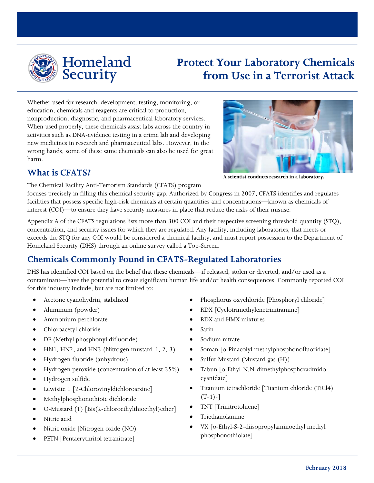

Homeland **Security** 

# **Protect Your Laboratory Chemicals from Use in a Terrorist Attack**

Whether used for research, development, testing, monitoring, or education, chemicals and reagents are critical to production, nonproduction, diagnostic, and pharmaceutical laboratory services. When used properly, these chemicals assist labs across the country in activities such as DNA-evidence testing in a crime lab and developing new medicines in research and pharmaceutical labs. However, in the wrong hands, some of these same chemicals can also be used for great harm.



The Chemical Facility Anti-Terrorism Standards (CFATS) program

focuses precisely in filling this chemical security gap. Authorized by Congress in 2007, CFATS identifies and regulates facilities that possess specific high-risk chemicals at certain quantities and concentrations—known as chemicals of interest (COI)—to ensure they have security measures in place that reduce the risks of their misuse.

Appendix A of the CFATS regulations lists more than 300 COI and their respective screening threshold quantity (STQ), concentration, and security issues for which they are regulated. Any facility, including laboratories, that meets or exceeds the STQ for any COI would be considered a chemical facility, and must report possession to the Department of Homeland Security (DHS) through an online survey called a Top-Screen.

## **Chemicals Commonly Found in CFATS-Regulated Laboratories**

DHS has identified COI based on the belief that these chemicals—if released, stolen or diverted, and/or used as a contaminant—have the potential to create significant human life and/or health consequences. Commonly reported COI for this industry include, but are not limited to:

- Acetone cyanohydrin, stabilized
- Aluminum (powder)
- Ammonium perchlorate
- Chloroacetyl chloride
- DF (Methyl phosphonyl difluoride)
- HN1, HN2, and HN3 (Nitrogen mustard-1, 2, 3)
- Hydrogen fluoride (anhydrous)
- Hydrogen peroxide (concentration of at least 35%)
- Hydrogen sulfide
- Lewisite 1 [2-Chlorovinyldichloroarsine]
- Methylphosphonothioic dichloride
- O-Mustard (T) [Bis(2-chloroethylthioethyl)ether]
- Nitric acid
- Nitric oxide [Nitrogen oxide (NO)]
- PETN [Pentaerythritol tetranitrate]
- Phosphorus oxychloride [Phosphoryl chloride]
- RDX [Cyclotrimethylenetrinitramine]
- RDX and HMX mixtures
- Sarin
- Sodium nitrate
- Soman [o-Pinacolyl methylphosphonofluoridate]
- Sulfur Mustard (Mustard gas (H))
- Tabun [o-Ethyl-N,N-dimethylphosphoradmidocyanidate]
- Titanium tetrachloride [Titanium chloride (TiCl4)  $(T-4)$ -]
- TNT [Trinitrotoluene]
- Triethanolamine
- VX [o-Ethyl-S-2-diisopropylaminoethyl methyl phosphonothiolate]